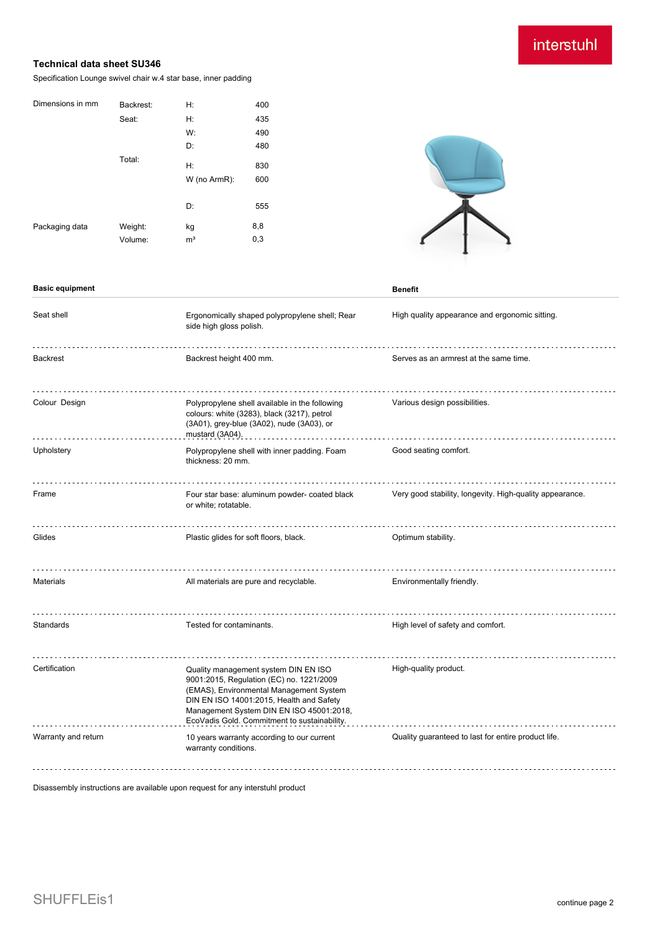# interstuhl

## **Technical data sheet SU346**

Specification Lounge swivel chair w.4 star base, inner padding

| Dimensions in mm | Backrest: | Н:             | 400 |
|------------------|-----------|----------------|-----|
|                  | Seat:     | H:             | 435 |
|                  |           | W:             | 490 |
|                  |           | D:             | 480 |
|                  | Total:    | H:             | 830 |
|                  |           | W (no ArmR):   | 600 |
|                  |           | D:             | 555 |
|                  |           |                |     |
| Packaging data   | Weight:   | kg             | 8,8 |
|                  | Volume:   | m <sup>3</sup> | 0,3 |



#### **Basic equipment Benefit**

| Seat shell          | Ergonomically shaped polypropylene shell; Rear<br>side high gloss polish.                                                                                                                                                                                           | High quality appearance and ergonomic sitting.           |
|---------------------|---------------------------------------------------------------------------------------------------------------------------------------------------------------------------------------------------------------------------------------------------------------------|----------------------------------------------------------|
| <b>Backrest</b>     | Backrest height 400 mm.                                                                                                                                                                                                                                             | Serves as an armrest at the same time.                   |
| Colour Design       | Polypropylene shell available in the following<br>colours: white (3283), black (3217), petrol<br>(3A01), grey-blue (3A02), nude (3A03), or<br>mustard (3A04).                                                                                                       | Various design possibilities.                            |
| Upholstery          | Polypropylene shell with inner padding. Foam<br>thickness: 20 mm.                                                                                                                                                                                                   | Good seating comfort.                                    |
| Frame               | Four star base: aluminum powder- coated black<br>or white; rotatable.                                                                                                                                                                                               | Very good stability, longevity. High-quality appearance. |
| Glides              | Plastic glides for soft floors, black.                                                                                                                                                                                                                              | Optimum stability.                                       |
| <b>Materials</b>    | All materials are pure and recyclable.                                                                                                                                                                                                                              | Environmentally friendly.                                |
| Standards           | Tested for contaminants.                                                                                                                                                                                                                                            | High level of safety and comfort.                        |
| Certification       | Quality management system DIN EN ISO<br>9001:2015, Regulation (EC) no. 1221/2009<br>(EMAS), Environmental Management System<br>DIN EN ISO 14001:2015, Health and Safety<br>Management System DIN EN ISO 45001:2018,<br>EcoVadis Gold. Commitment to sustainability. | High-quality product.                                    |
| Warranty and return | 10 years warranty according to our current<br>warranty conditions.                                                                                                                                                                                                  | Quality guaranteed to last for entire product life.      |

Disassembly instructions are available upon request for any interstuhl product